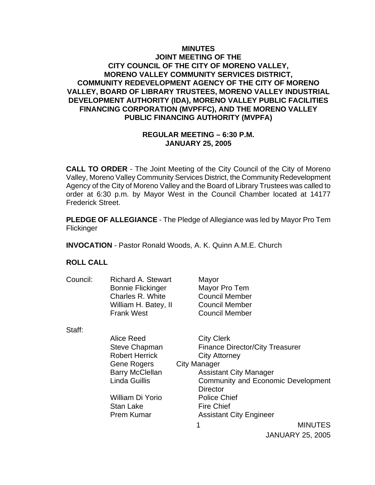### **MINUTES JOINT MEETING OF THE CITY COUNCIL OF THE CITY OF MORENO VALLEY, MORENO VALLEY COMMUNITY SERVICES DISTRICT, COMMUNITY REDEVELOPMENT AGENCY OF THE CITY OF MORENO VALLEY, BOARD OF LIBRARY TRUSTEES, MORENO VALLEY INDUSTRIAL DEVELOPMENT AUTHORITY (IDA), MORENO VALLEY PUBLIC FACILITIES FINANCING CORPORATION (MVPFFC), AND THE MORENO VALLEY PUBLIC FINANCING AUTHORITY (MVPFA)**

### **REGULAR MEETING – 6:30 P.M. JANUARY 25, 2005**

**CALL TO ORDER** - The Joint Meeting of the City Council of the City of Moreno Valley, Moreno Valley Community Services District, the Community Redevelopment Agency of the City of Moreno Valley and the Board of Library Trustees was called to order at 6:30 p.m. by Mayor West in the Council Chamber located at 14177 Frederick Street.

**PLEDGE OF ALLEGIANCE** - The Pledge of Allegiance was led by Mayor Pro Tem Flickinger

**INVOCATION** - Pastor Ronald Woods, A. K. Quinn A.M.E. Church

### **ROLL CALL**

| Council: | <b>Richard A. Stewart</b><br><b>Bonnie Flickinger</b><br>Charles R. White<br>William H. Batey, II<br><b>Frank West</b> | Mayor<br>Mayor Pro Tem<br><b>Council Member</b><br><b>Council Member</b><br><b>Council Member</b> |
|----------|------------------------------------------------------------------------------------------------------------------------|---------------------------------------------------------------------------------------------------|
| Staff:   |                                                                                                                        |                                                                                                   |
|          | Alice Reed                                                                                                             | <b>City Clerk</b>                                                                                 |
|          | Steve Chapman                                                                                                          | <b>Finance Director/City Treasurer</b>                                                            |
|          | <b>Robert Herrick</b>                                                                                                  | <b>City Attorney</b>                                                                              |
|          | Gene Rogers                                                                                                            | <b>City Manager</b>                                                                               |
|          | <b>Barry McClellan</b>                                                                                                 | <b>Assistant City Manager</b>                                                                     |
|          | Linda Guillis                                                                                                          | <b>Community and Economic Development</b>                                                         |
|          |                                                                                                                        | <b>Director</b>                                                                                   |
|          | William Di Yorio                                                                                                       | <b>Police Chief</b>                                                                               |

1 Prem Kumar **Assistant City Engineer** 

Stan Lake Fire Chief

**MINUTES** JANUARY 25, 2005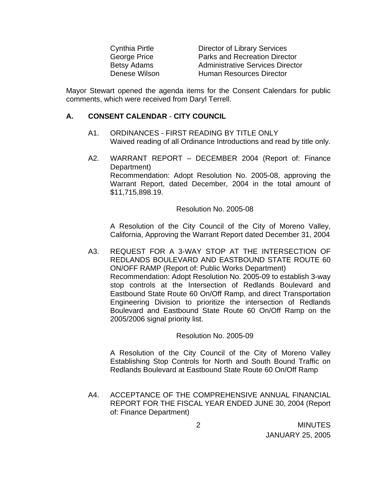| Cynthia Pirtle     |
|--------------------|
| George Price       |
| <b>Betsy Adams</b> |
| Denese Wilson      |

Director of Library Services Parks and Recreation Director Administrative Services Director Human Resources Director

Mayor Stewart opened the agenda items for the Consent Calendars for public comments, which were received from Daryl Terrell.

#### **A. CONSENT CALENDAR** - **CITY COUNCIL**

- A1. ORDINANCES FIRST READING BY TITLE ONLY Waived reading of all Ordinance Introductions and read by title only.
- A2. WARRANT REPORT DECEMBER 2004 (Report of: Finance Department) Recommendation: Adopt Resolution No. 2005-08, approving the Warrant Report, dated December, 2004 in the total amount of \$11,715,898.19.

#### Resolution No. 2005-08

 A Resolution of the City Council of the City of Moreno Valley, California, Approving the Warrant Report dated December 31, 2004

A3. REQUEST FOR A 3-WAY STOP AT THE INTERSECTION OF REDLANDS BOULEVARD AND EASTBOUND STATE ROUTE 60 ON/OFF RAMP (Report of: Public Works Department) Recommendation: Adopt Resolution No. 2005-09 to establish 3-way stop controls at the Intersection of Redlands Boulevard and Eastbound State Route 60 On/Off Ramp, and direct Transportation Engineering Division to prioritize the intersection of Redlands Boulevard and Eastbound State Route 60 On/Off Ramp on the 2005/2006 signal priority list.

#### Resolution No. 2005-09

 A Resolution of the City Council of the City of Moreno Valley Establishing Stop Controls for North and South Bound Traffic on Redlands Boulevard at Eastbound State Route 60 On/Off Ramp

A4. ACCEPTANCE OF THE COMPREHENSIVE ANNUAL FINANCIAL REPORT FOR THE FISCAL YEAR ENDED JUNE 30, 2004 (Report of: Finance Department)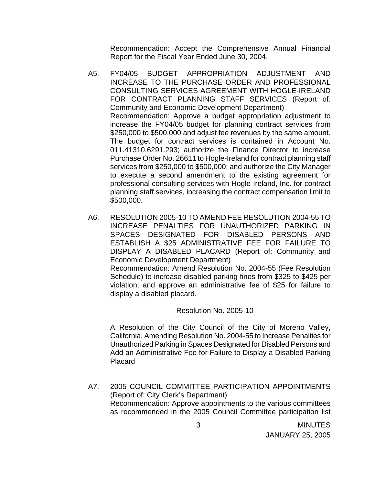Recommendation: Accept the Comprehensive Annual Financial Report for the Fiscal Year Ended June 30, 2004.

- A5. FY04/05 BUDGET APPROPRIATION ADJUSTMENT AND INCREASE TO THE PURCHASE ORDER AND PROFESSIONAL CONSULTING SERVICES AGREEMENT WITH HOGLE-IRELAND FOR CONTRACT PLANNING STAFF SERVICES (Report of: Community and Economic Development Department) Recommendation: Approve a budget appropriation adjustment to increase the FY04/05 budget for planning contract services from \$250,000 to \$500,000 and adjust fee revenues by the same amount. The budget for contract services is contained in Account No. 011.41310.6291.293; authorize the Finance Director to increase Purchase Order No. 26611 to Hogle-Ireland for contract planning staff services from \$250,000 to \$500,000; and authorize the City Manager to execute a second amendment to the existing agreement for professional consulting services with Hogle-Ireland, Inc. for contract planning staff services, increasing the contract compensation limit to \$500,000.
- A6. RESOLUTION 2005-10 TO AMEND FEE RESOLUTION 2004-55 TO INCREASE PENALTIES FOR UNAUTHORIZED PARKING IN SPACES DESIGNATED FOR DISABLED PERSONS AND ESTABLISH A \$25 ADMINISTRATIVE FEE FOR FAILURE TO DISPLAY A DISABLED PLACARD (Report of: Community and Economic Development Department) Recommendation: Amend Resolution No. 2004-55 (Fee Resolution Schedule) to increase disabled parking fines from \$325 to \$425 per violation; and approve an administrative fee of \$25 for failure to display a disabled placard.

Resolution No. 2005-10

A Resolution of the City Council of the City of Moreno Valley, California, Amending Resolution No. 2004-55 to Increase Penalties for Unauthorized Parking in Spaces Designated for Disabled Persons and Add an Administrative Fee for Failure to Display a Disabled Parking Placard

A7. 2005 COUNCIL COMMITTEE PARTICIPATION APPOINTMENTS (Report of: City Clerk's Department) Recommendation: Approve appointments to the various committees as recommended in the 2005 Council Committee participation list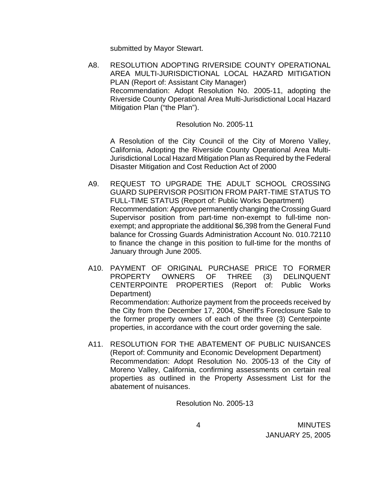submitted by Mayor Stewart.

 A8. RESOLUTION ADOPTING RIVERSIDE COUNTY OPERATIONAL AREA MULTI-JURISDICTIONAL LOCAL HAZARD MITIGATION PLAN (Report of: Assistant City Manager) Recommendation: Adopt Resolution No. 2005-11, adopting the Riverside County Operational Area Multi-Jurisdictional Local Hazard Mitigation Plan ("the Plan").

Resolution No. 2005-11

A Resolution of the City Council of the City of Moreno Valley, California, Adopting the Riverside County Operational Area Multi-Jurisdictional Local Hazard Mitigation Plan as Required by the Federal Disaster Mitigation and Cost Reduction Act of 2000

- A9. REQUEST TO UPGRADE THE ADULT SCHOOL CROSSING GUARD SUPERVISOR POSITION FROM PART-TIME STATUS TO FULL-TIME STATUS (Report of: Public Works Department) Recommendation: Approve permanently changing the Crossing Guard Supervisor position from part-time non-exempt to full-time nonexempt; and appropriate the additional \$6,398 from the General Fund balance for Crossing Guards Administration Account No. 010.72110 to finance the change in this position to full-time for the months of January through June 2005.
- A10. PAYMENT OF ORIGINAL PURCHASE PRICE TO FORMER PROPERTY OWNERS OF THREE (3) DELINQUENT CENTERPOINTE PROPERTIES (Report of: Public Works Department) Recommendation: Authorize payment from the proceeds received by the City from the December 17, 2004, Sheriff's Foreclosure Sale to the former property owners of each of the three (3) Centerpointe properties, in accordance with the court order governing the sale.
- A11. RESOLUTION FOR THE ABATEMENT OF PUBLIC NUISANCES (Report of: Community and Economic Development Department) Recommendation: Adopt Resolution No. 2005-13 of the City of Moreno Valley, California, confirming assessments on certain real properties as outlined in the Property Assessment List for the abatement of nuisances.

Resolution No. 2005-13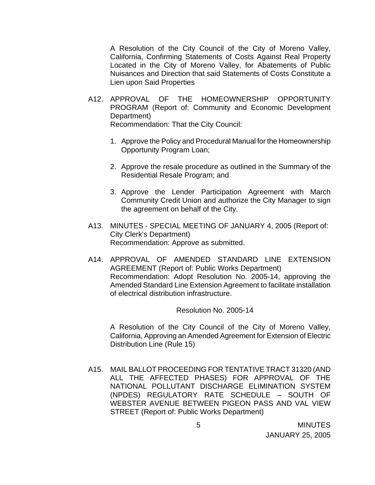A Resolution of the City Council of the City of Moreno Valley, California, Confirming Statements of Costs Against Real Property Located in the City of Moreno Valley, for Abatements of Public Nuisances and Direction that said Statements of Costs Constitute a Lien upon Said Properties

- A12. APPROVAL OF THE HOMEOWNERSHIP OPPORTUNITY PROGRAM (Report of: Community and Economic Development Department) Recommendation: That the City Council:
	- 1. Approve the Policy and Procedural Manual for the Homeownership Opportunity Program Loan;
	- 2. Approve the resale procedure as outlined in the Summary of the Residential Resale Program; and
	- 3. Approve the Lender Participation Agreement with March Community Credit Union and authorize the City Manager to sign the agreement on behalf of the City.
- A13. MINUTES SPECIAL MEETING OF JANUARY 4, 2005 (Report of: City Clerk's Department) Recommendation: Approve as submitted.
- A14. APPROVAL OF AMENDED STANDARD LINE EXTENSION AGREEMENT (Report of: Public Works Department) Recommendation: Adopt Resolution No. 2005-14, approving the Amended Standard Line Extension Agreement to facilitate installation of electrical distribution infrastructure.

Resolution No. 2005-14

 A Resolution of the City Council of the City of Moreno Valley, California, Approving an Amended Agreement for Extension of Electric Distribution Line (Rule 15)

 A15. MAIL BALLOT PROCEEDING FOR TENTATIVE TRACT 31320 (AND ALL THE AFFECTED PHASES) FOR APPROVAL OF THE NATIONAL POLLUTANT DISCHARGE ELIMINATION SYSTEM (NPDES) REGULATORY RATE SCHEDULE – SOUTH OF WEBSTER AVENUE BETWEEN PIGEON PASS AND VAL VIEW STREET (Report of: Public Works Department)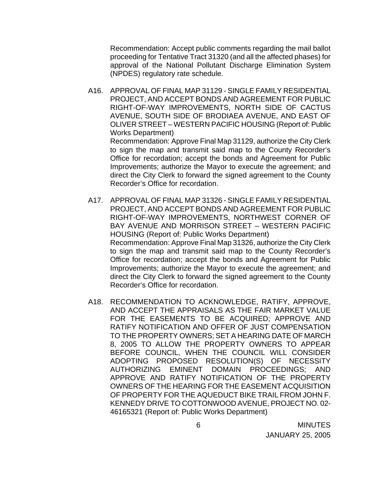Recommendation: Accept public comments regarding the mail ballot proceeding for Tentative Tract 31320 (and all the affected phases) for approval of the National Pollutant Discharge Elimination System (NPDES) regulatory rate schedule.

A16. APPROVAL OF FINAL MAP 31129 - SINGLE FAMILY RESIDENTIAL PROJECT, AND ACCEPT BONDS AND AGREEMENT FOR PUBLIC RIGHT-OF-WAY IMPROVEMENTS, NORTH SIDE OF CACTUS AVENUE, SOUTH SIDE OF BRODIAEA AVENUE, AND EAST OF OLIVER STREET – WESTERN PACIFIC HOUSING (Report of: Public Works Department) Recommendation: Approve Final Map 31129, authorize the City Clerk to sign the map and transmit said map to the County Recorder's

Office for recordation; accept the bonds and Agreement for Public Improvements; authorize the Mayor to execute the agreement; and direct the City Clerk to forward the signed agreement to the County Recorder's Office for recordation.

- A17. APPROVAL OF FINAL MAP 31326 SINGLE FAMILY RESIDENTIAL PROJECT, AND ACCEPT BONDS AND AGREEMENT FOR PUBLIC RIGHT-OF-WAY IMPROVEMENTS, NORTHWEST CORNER OF BAY AVENUE AND MORRISON STREET – WESTERN PACIFIC HOUSING (Report of: Public Works Department) Recommendation: Approve Final Map 31326, authorize the City Clerk to sign the map and transmit said map to the County Recorder's Office for recordation; accept the bonds and Agreement for Public Improvements; authorize the Mayor to execute the agreement; and direct the City Clerk to forward the signed agreement to the County Recorder's Office for recordation.
- A18. RECOMMENDATION TO ACKNOWLEDGE, RATIFY, APPROVE, AND ACCEPT THE APPRAISALS AS THE FAIR MARKET VALUE FOR THE EASEMENTS TO BE ACQUIRED; APPROVE AND RATIFY NOTIFICATION AND OFFER OF JUST COMPENSATION TO THE PROPERTY OWNERS; SET A HEARING DATE OF MARCH 8, 2005 TO ALLOW THE PROPERTY OWNERS TO APPEAR BEFORE COUNCIL, WHEN THE COUNCIL WILL CONSIDER ADOPTING PROPOSED RESOLUTION(S) OF NECESSITY AUTHORIZING EMINENT DOMAIN PROCEEDINGS; AND APPROVE AND RATIFY NOTIFICATION OF THE PROPERTY OWNERS OF THE HEARING FOR THE EASEMENT ACQUISITION OF PROPERTY FOR THE AQUEDUCT BIKE TRAIL FROM JOHN F. KENNEDY DRIVE TO COTTONWOOD AVENUE, PROJECT NO. 02- 46165321 (Report of: Public Works Department)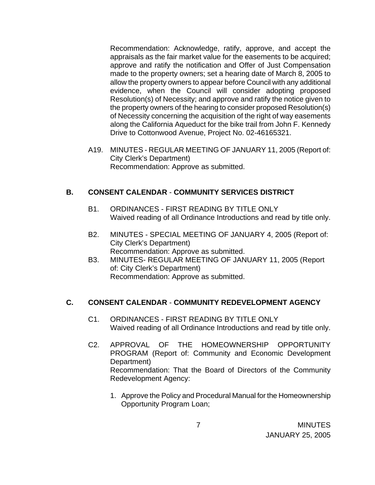Recommendation: Acknowledge, ratify, approve, and accept the appraisals as the fair market value for the easements to be acquired; approve and ratify the notification and Offer of Just Compensation made to the property owners; set a hearing date of March 8, 2005 to allow the property owners to appear before Council with any additional evidence, when the Council will consider adopting proposed Resolution(s) of Necessity; and approve and ratify the notice given to the property owners of the hearing to consider proposed Resolution(s) of Necessity concerning the acquisition of the right of way easements along the California Aqueduct for the bike trail from John F. Kennedy Drive to Cottonwood Avenue, Project No. 02-46165321.

 A19. MINUTES - REGULAR MEETING OF JANUARY 11, 2005 (Report of: City Clerk's Department) Recommendation: Approve as submitted.

# **B. CONSENT CALENDAR** - **COMMUNITY SERVICES DISTRICT**

- B1. ORDINANCES FIRST READING BY TITLE ONLY Waived reading of all Ordinance Introductions and read by title only.
- B2. MINUTES SPECIAL MEETING OF JANUARY 4, 2005 (Report of: City Clerk's Department) Recommendation: Approve as submitted.
- B3. MINUTES- REGULAR MEETING OF JANUARY 11, 2005 (Report of: City Clerk's Department) Recommendation: Approve as submitted.

# **C. CONSENT CALENDAR** - **COMMUNITY REDEVELOPMENT AGENCY**

- C1. ORDINANCES FIRST READING BY TITLE ONLY Waived reading of all Ordinance Introductions and read by title only.
- C2. APPROVAL OF THE HOMEOWNERSHIP OPPORTUNITY PROGRAM (Report of: Community and Economic Development Department) Recommendation: That the Board of Directors of the Community Redevelopment Agency:
	- 1. Approve the Policy and Procedural Manual for the Homeownership Opportunity Program Loan;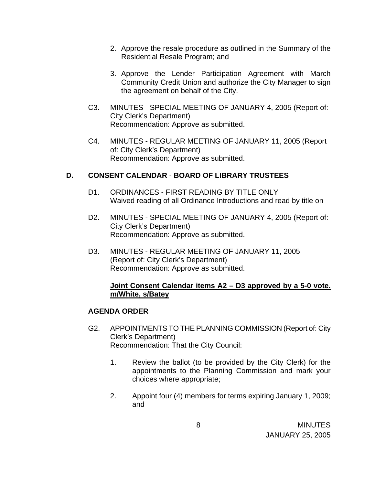- 2. Approve the resale procedure as outlined in the Summary of the Residential Resale Program; and
- 3. Approve the Lender Participation Agreement with March Community Credit Union and authorize the City Manager to sign the agreement on behalf of the City.
- C3. MINUTES SPECIAL MEETING OF JANUARY 4, 2005 (Report of: City Clerk's Department) Recommendation: Approve as submitted.
- C4. MINUTES REGULAR MEETING OF JANUARY 11, 2005 (Report of: City Clerk's Department) Recommendation: Approve as submitted.

# **D. CONSENT CALENDAR** - **BOARD OF LIBRARY TRUSTEES**

- D1. ORDINANCES FIRST READING BY TITLE ONLY Waived reading of all Ordinance Introductions and read by title on
- D2. MINUTES SPECIAL MEETING OF JANUARY 4, 2005 (Report of: City Clerk's Department) Recommendation: Approve as submitted.
- D3. MINUTES REGULAR MEETING OF JANUARY 11, 2005 (Report of: City Clerk's Department) Recommendation: Approve as submitted.

## **Joint Consent Calendar items A2 – D3 approved by a 5-0 vote. m/White, s/Batey**

## **AGENDA ORDER**

- G2. APPOINTMENTS TO THE PLANNING COMMISSION (Report of: City Clerk's Department) Recommendation: That the City Council:
	- 1. Review the ballot (to be provided by the City Clerk) for the appointments to the Planning Commission and mark your choices where appropriate;
	- 2. Appoint four (4) members for terms expiring January 1, 2009; and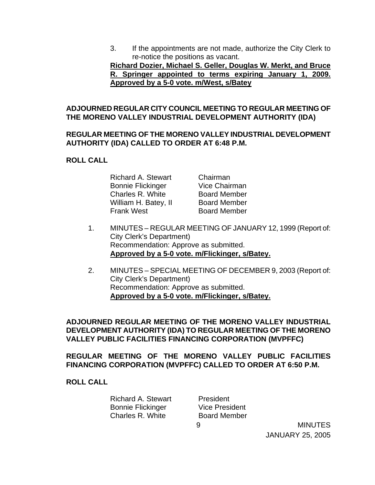3. If the appointments are not made, authorize the City Clerk to re-notice the positions as vacant.

**Richard Dozier, Michael S. Geller, Douglas W. Merkt, and Bruce R. Springer appointed to terms expiring January 1, 2009. Approved by a 5-0 vote. m/West, s/Batey**

## **ADJOURNED REGULAR CITY COUNCIL MEETING TO REGULAR MEETING OF THE MORENO VALLEY INDUSTRIAL DEVELOPMENT AUTHORITY (IDA)**

### **REGULAR MEETING OF THE MORENO VALLEY INDUSTRIAL DEVELOPMENT AUTHORITY (IDA) CALLED TO ORDER AT 6:48 P.M.**

### **ROLL CALL**

| <b>Richard A. Stewart</b> | Chairman             |
|---------------------------|----------------------|
| <b>Bonnie Flickinger</b>  | <b>Vice Chairman</b> |
| Charles R. White          | <b>Board Member</b>  |
| William H. Batey, II      | <b>Board Member</b>  |
| <b>Frank West</b>         | <b>Board Member</b>  |

- 1. MINUTES REGULAR MEETING OF JANUARY 12, 1999 (Report of: City Clerk's Department) Recommendation: Approve as submitted.  **Approved by a 5-0 vote. m/Flickinger, s/Batey.**
- 2. MINUTES SPECIAL MEETING OF DECEMBER 9, 2003 (Report of: City Clerk's Department) Recommendation: Approve as submitted. **Approved by a 5-0 vote. m/Flickinger, s/Batey.**

### **ADJOURNED REGULAR MEETING OF THE MORENO VALLEY INDUSTRIAL DEVELOPMENT AUTHORITY (IDA) TO REGULAR MEETING OF THE MORENO VALLEY PUBLIC FACILITIES FINANCING CORPORATION (MVPFFC)**

**REGULAR MEETING OF THE MORENO VALLEY PUBLIC FACILITIES FINANCING CORPORATION (MVPFFC) CALLED TO ORDER AT 6:50 P.M.** 

### **ROLL CALL**

| Richard A. Stewart |
|--------------------|
| Bonnie Flickinger  |
| Charles R. White   |

9 **President** Vice President Board Member

**MINUTES** JANUARY 25, 2005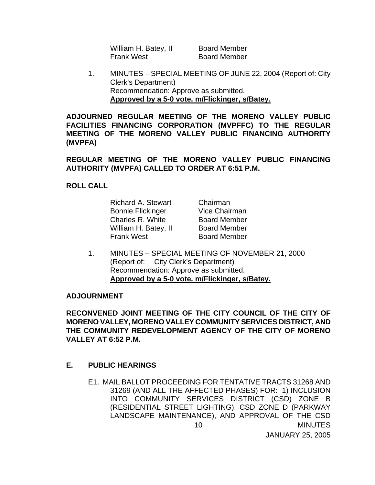William H. Batey, II Board Member Frank West Board Member

 1. MINUTES – SPECIAL MEETING OF JUNE 22, 2004 (Report of: City Clerk's Department) Recommendation: Approve as submitted. **Approved by a 5-0 vote. m/Flickinger, s/Batey.**

**ADJOURNED REGULAR MEETING OF THE MORENO VALLEY PUBLIC FACILITIES FINANCING CORPORATION (MVPFFC) TO THE REGULAR MEETING OF THE MORENO VALLEY PUBLIC FINANCING AUTHORITY (MVPFA)** 

**REGULAR MEETING OF THE MORENO VALLEY PUBLIC FINANCING AUTHORITY (MVPFA) CALLED TO ORDER AT 6:51 P.M.** 

### **ROLL CALL**

 Richard A. Stewart Chairman Bonnie Flickinger Vice Chairman Charles R. White **Board Member** William H. Batey, II Board Member Frank West Board Member

 1. MINUTES – SPECIAL MEETING OF NOVEMBER 21, 2000 (Report of: City Clerk's Department) Recommendation: Approve as submitted. **Approved by a 5-0 vote. m/Flickinger, s/Batey.**

#### **ADJOURNMENT**

**RECONVENED JOINT MEETING OF THE CITY COUNCIL OF THE CITY OF MORENO VALLEY, MORENO VALLEY COMMUNITY SERVICES DISTRICT, AND THE COMMUNITY REDEVELOPMENT AGENCY OF THE CITY OF MORENO VALLEY AT 6:52 P.M.** 

### **E. PUBLIC HEARINGS**

**MINUTES** 10 E1. MAIL BALLOT PROCEEDING FOR TENTATIVE TRACTS 31268 AND 31269 (AND ALL THE AFFECTED PHASES) FOR: 1) INCLUSION INTO COMMUNITY SERVICES DISTRICT (CSD) ZONE B (RESIDENTIAL STREET LIGHTING), CSD ZONE D (PARKWAY LANDSCAPE MAINTENANCE), AND APPROVAL OF THE CSD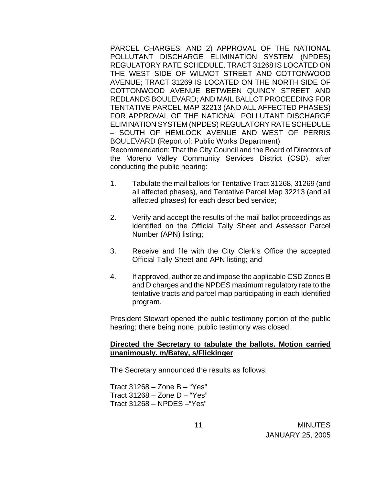PARCEL CHARGES; AND 2) APPROVAL OF THE NATIONAL POLLUTANT DISCHARGE ELIMINATION SYSTEM (NPDES) REGULATORY RATE SCHEDULE. TRACT 31268 IS LOCATED ON THE WEST SIDE OF WILMOT STREET AND COTTONWOOD AVENUE; TRACT 31269 IS LOCATED ON THE NORTH SIDE OF COTTONWOOD AVENUE BETWEEN QUINCY STREET AND REDLANDS BOULEVARD; AND MAIL BALLOT PROCEEDING FOR TENTATIVE PARCEL MAP 32213 (AND ALL AFFECTED PHASES) FOR APPROVAL OF THE NATIONAL POLLUTANT DISCHARGE ELIMINATION SYSTEM (NPDES) REGULATORY RATE SCHEDULE – SOUTH OF HEMLOCK AVENUE AND WEST OF PERRIS BOULEVARD (Report of: Public Works Department) Recommendation: That the City Council and the Board of Directors of the Moreno Valley Community Services District (CSD), after conducting the public hearing:

- 1. Tabulate the mail ballots for Tentative Tract 31268, 31269 (and all affected phases), and Tentative Parcel Map 32213 (and all affected phases) for each described service;
- 2. Verify and accept the results of the mail ballot proceedings as identified on the Official Tally Sheet and Assessor Parcel Number (APN) listing;
- 3. Receive and file with the City Clerk's Office the accepted Official Tally Sheet and APN listing; and
- 4. If approved, authorize and impose the applicable CSD Zones B and D charges and the NPDES maximum regulatory rate to the tentative tracts and parcel map participating in each identified program.

 President Stewart opened the public testimony portion of the public hearing; there being none, public testimony was closed.

### **Directed the Secretary to tabulate the ballots. Motion carried unanimously. m/Batey, s/Flickinger**

The Secretary announced the results as follows:

 Tract 31268 – Zone B – "Yes" Tract 31268 – Zone D – "Yes" Tract 31268 – NPDES –"Yes"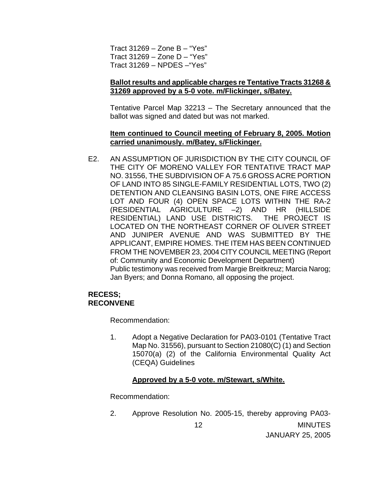Tract 31269 – Zone B – "Yes" Tract 31269 – Zone D – "Yes" Tract 31269 – NPDES –"Yes"

### **Ballot results and applicable charges re Tentative Tracts 31268 & 31269 approved by a 5-0 vote. m/Flickinger, s/Batey.**

 Tentative Parcel Map 32213 – The Secretary announced that the ballot was signed and dated but was not marked.

### **Item continued to Council meeting of February 8, 2005. Motion carried unanimously. m/Batey, s/Flickinger.**

E2. AN ASSUMPTION OF JURISDICTION BY THE CITY COUNCIL OF THE CITY OF MORENO VALLEY FOR TENTATIVE TRACT MAP NO. 31556, THE SUBDIVISION OF A 75.6 GROSS ACRE PORTION OF LAND INTO 85 SINGLE-FAMILY RESIDENTIAL LOTS, TWO (2) DETENTION AND CLEANSING BASIN LOTS, ONE FIRE ACCESS LOT AND FOUR (4) OPEN SPACE LOTS WITHIN THE RA-2 (RESIDENTIAL AGRICULTURE –2) AND HR (HILLSIDE RESIDENTIAL) LAND USE DISTRICTS. THE PROJECT IS LOCATED ON THE NORTHEAST CORNER OF OLIVER STREET AND JUNIPER AVENUE AND WAS SUBMITTED BY THE APPLICANT, EMPIRE HOMES. THE ITEM HAS BEEN CONTINUED FROM THE NOVEMBER 23, 2004 CITY COUNCIL MEETING (Report of: Community and Economic Development Department) Public testimony was received from Margie Breitkreuz; Marcia Narog; Jan Byers; and Donna Romano, all opposing the project.

### **RECESS; RECONVENE**

Recommendation:

 1. Adopt a Negative Declaration for PA03-0101 (Tentative Tract Map No. 31556), pursuant to Section 21080(C) (1) and Section 15070(a) (2) of the California Environmental Quality Act (CEQA) Guidelines

### **Approved by a 5-0 vote. m/Stewart, s/White.**

Recommendation:

**MINUTES** JANUARY 25, 2005 12 2. Approve Resolution No. 2005-15, thereby approving PA03-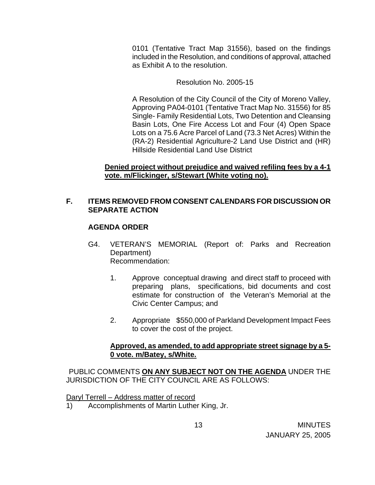0101 (Tentative Tract Map 31556), based on the findings included in the Resolution, and conditions of approval, attached as Exhibit A to the resolution.

Resolution No. 2005-15

 A Resolution of the City Council of the City of Moreno Valley, Approving PA04-0101 (Tentative Tract Map No. 31556) for 85 Single- Family Residential Lots, Two Detention and Cleansing Basin Lots, One Fire Access Lot and Four (4) Open Space Lots on a 75.6 Acre Parcel of Land (73.3 Net Acres) Within the (RA-2) Residential Agriculture-2 Land Use District and (HR) Hillside Residential Land Use District

### **Denied project without prejudice and waived refiling fees by a 4-1 vote. m/Flickinger, s/Stewart (White voting no).**

## **F. ITEMS REMOVED FROM CONSENT CALENDARS FOR DISCUSSION OR SEPARATE ACTION**

## **AGENDA ORDER**

- G4. VETERAN'S MEMORIAL (Report of: Parks and Recreation Department) Recommendation:
	- 1. Approve conceptual drawing and direct staff to proceed with preparing plans, specifications, bid documents and cost estimate for construction of the Veteran's Memorial at the Civic Center Campus; and
	- 2. Appropriate \$550,000 of Parkland Development Impact Fees to cover the cost of the project.

### **Approved, as amended, to add appropriate street signage by a 5- 0 vote. m/Batey, s/White.**

PUBLIC COMMENTS **ON ANY SUBJECT NOT ON THE AGENDA** UNDER THE JURISDICTION OF THE CITY COUNCIL ARE AS FOLLOWS:

Daryl Terrell – Address matter of record

1) Accomplishments of Martin Luther King, Jr.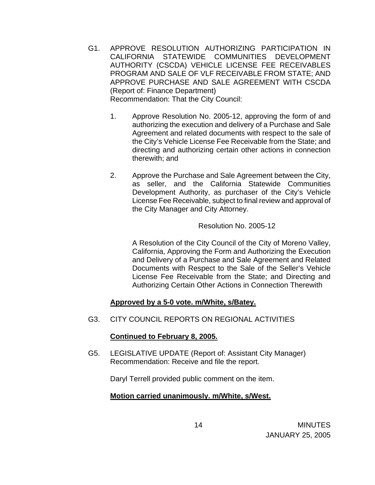- G1. APPROVE RESOLUTION AUTHORIZING PARTICIPATION IN CALIFORNIA STATEWIDE COMMUNITIES DEVELOPMENT AUTHORITY (CSCDA) VEHICLE LICENSE FEE RECEIVABLES PROGRAM AND SALE OF VLF RECEIVABLE FROM STATE; AND APPROVE PURCHASE AND SALE AGREEMENT WITH CSCDA (Report of: Finance Department) Recommendation: That the City Council:
	- 1. Approve Resolution No. 2005-12, approving the form of and authorizing the execution and delivery of a Purchase and Sale Agreement and related documents with respect to the sale of the City's Vehicle License Fee Receivable from the State; and directing and authorizing certain other actions in connection therewith; and
	- 2. Approve the Purchase and Sale Agreement between the City, as seller, and the California Statewide Communities Development Authority, as purchaser of the City's Vehicle License Fee Receivable, subject to final review and approval of the City Manager and City Attorney.

### Resolution No. 2005-12

 A Resolution of the City Council of the City of Moreno Valley, California, Approving the Form and Authorizing the Execution and Delivery of a Purchase and Sale Agreement and Related Documents with Respect to the Sale of the Seller's Vehicle License Fee Receivable from the State; and Directing and Authorizing Certain Other Actions in Connection Therewith

## **Approved by a 5-0 vote. m/White, s/Batey.**

G3. CITY COUNCIL REPORTS ON REGIONAL ACTIVITIES

## **Continued to February 8, 2005.**

 G5. LEGISLATIVE UPDATE (Report of: Assistant City Manager) Recommendation: Receive and file the report.

Daryl Terrell provided public comment on the item.

## **Motion carried unanimously. m/White, s/West.**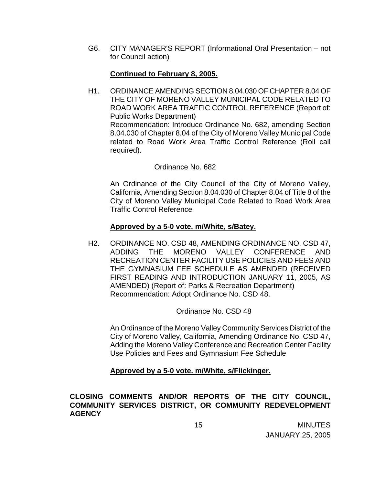G6. CITY MANAGER'S REPORT (Informational Oral Presentation – not for Council action)

### **Continued to February 8, 2005.**

H1. ORDINANCE AMENDING SECTION 8.04.030 OF CHAPTER 8.04 OF THE CITY OF MORENO VALLEY MUNICIPAL CODE RELATED TO ROAD WORK AREA TRAFFIC CONTROL REFERENCE (Report of: Public Works Department) Recommendation: Introduce Ordinance No. 682, amending Section 8.04.030 of Chapter 8.04 of the City of Moreno Valley Municipal Code related to Road Work Area Traffic Control Reference (Roll call required).

### Ordinance No. 682

 An Ordinance of the City Council of the City of Moreno Valley, California, Amending Section 8.04.030 of Chapter 8.04 of Title 8 of the City of Moreno Valley Municipal Code Related to Road Work Area Traffic Control Reference

### **Approved by a 5-0 vote. m/White, s/Batey.**

H2. ORDINANCE NO. CSD 48, AMENDING ORDINANCE NO. CSD 47, ADDING THE MORENO VALLEY CONFERENCE AND RECREATION CENTER FACILITY USE POLICIES AND FEES AND THE GYMNASIUM FEE SCHEDULE AS AMENDED (RECEIVED FIRST READING AND INTRODUCTION JANUARY 11, 2005, AS AMENDED) (Report of: Parks & Recreation Department) Recommendation: Adopt Ordinance No. CSD 48.

Ordinance No. CSD 48

 An Ordinance of the Moreno Valley Community Services District of the City of Moreno Valley, California, Amending Ordinance No. CSD 47, Adding the Moreno Valley Conference and Recreation Center Facility Use Policies and Fees and Gymnasium Fee Schedule

### **Approved by a 5-0 vote. m/White, s/Flickinger.**

**CLOSING COMMENTS AND/OR REPORTS OF THE CITY COUNCIL, COMMUNITY SERVICES DISTRICT, OR COMMUNITY REDEVELOPMENT AGENCY**